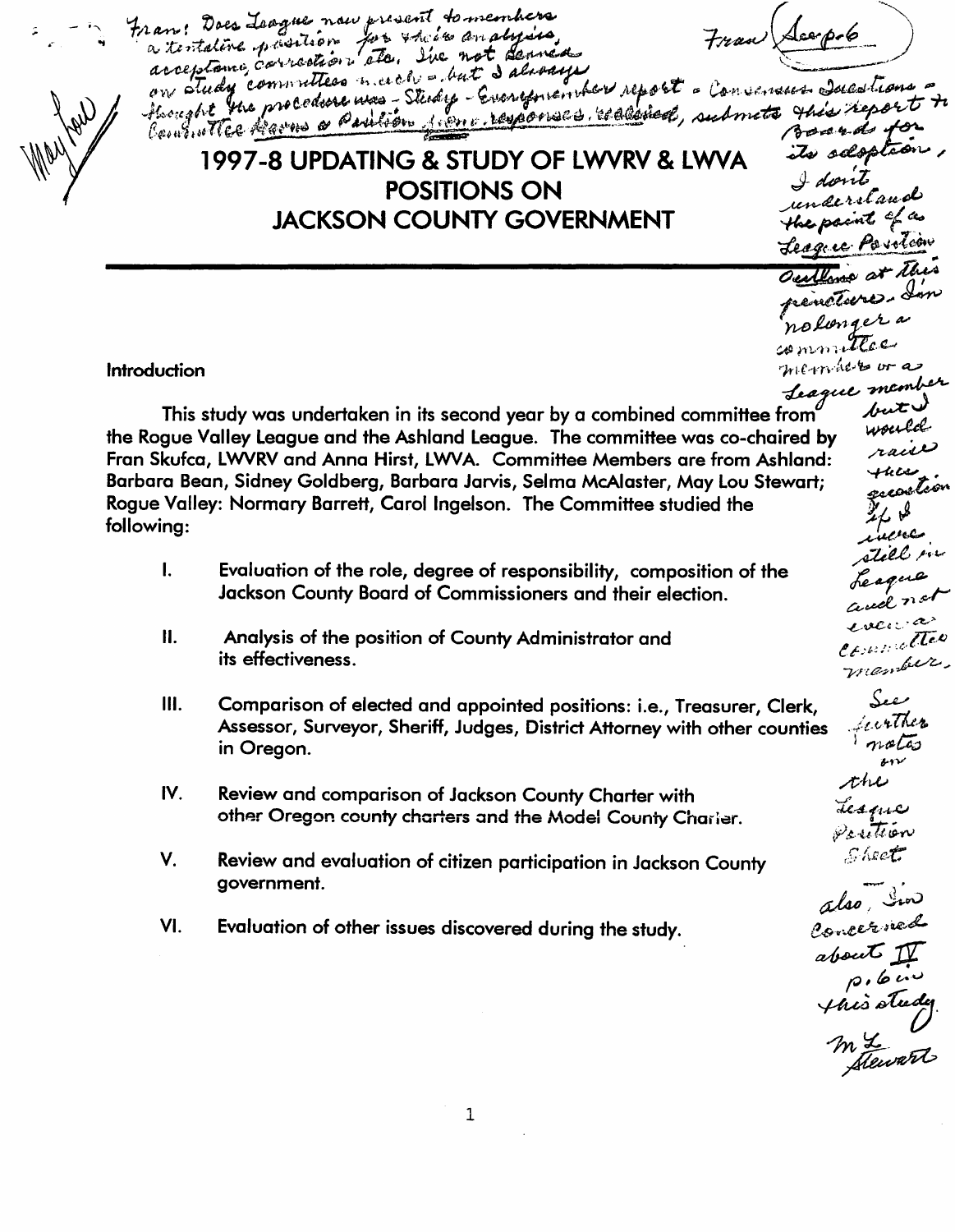; - , Iran; Does Jaague naw present to members<br>a tentative prestion for their an alysis, Tran Jacopole an: Does Joague now present to members<br>in teritative prisition for their analysis, Tran (Leopole)<br>arceptome correntless narch - but I always, those a convenient such trans on study committees need - but I devouped report - Convenien Jacobians 1997-8 UPDATING & STUDY OF LWVRV & LWVA<br>POSITIONS ON POSITIONS ON *I done*<br>COUNTY GOVERNMENT the paint of a **JACKSON COUNTY GOVERNMENT Jeague Pavolion** Outline at this outline at this outline at the nolonger a Introduction  $\int_{\Omega}$  is a set of  $\alpha$  is the independent of  $\alpha$ . This study was undertaken in its second year by a combined committee from  $u^2$  weild<br>the Rogue Valley League and the Ashland League. The committee was co-chaired by Weild Fran Skufca, LWVRV and Anna Hirst, LWVA. Committee Members are from Ashland:<br>Barbara Bean, Sidney Goldberg, Barbara Jarvis, Selma McAlaster, May Lou Stewart;<br>Baryo Vallau Memanus Barnatt, Canal Incolney, The Committee of t Barbara Bean, Sidney Goldberg, Barbara Jarvis, Selma McAlaster, May Lou Stewart;<br>Rogue Valley: Normary Barrett, Carol Ingelson. The Committee studied the presenting the partial part of parti following: where the contract of the contract of the contract of the contract of the contract of the contract of the contract of the contract of the contract of the contract of the contract of the contract of the contract ~t..t/';·"... I. Evaluation of the role, degree of responsibility, composition of the  $\overbrace{{}_{\text{decay}}}^{}$ Jackson County Board of Commissioners and their election.  $6.4887...$  $\iota$ v $\varepsilon$ <sub>i $\varepsilon$ ' $\infty$ </sub> II. Analysis of the position of County Administrator and  $\ell_{\ell\text{-}W\ell\ell}$  $r$ uember. its effectiveness. III. Comparison of elected and appointed positions: i.e., Treasurer, Clerk, . *,it.* (.r;' *T/..tr1,.*  Assessor, Surveyor, Sheriff, Judges, District Attorney with other counties  $n_{\alpha}$ in Oregon. Y,v .,/t-lw IV. Review and comparison of Jackson County Charter with Lesque other Oregon county charters and the Model County Charler.  $\mathscr{P}_{\mathcal{S}}$  is then *("01,.'"",'"* r:;'" . , *Yo'"* '''~-~ ... V. Review and evaluation of citizen participation in Jackson County government. also, Concerne VI. Evaluation of other issues discovered during the study. about  ${\mathcal{Y}}$  $\rho$ ,  $6\ldots$ 1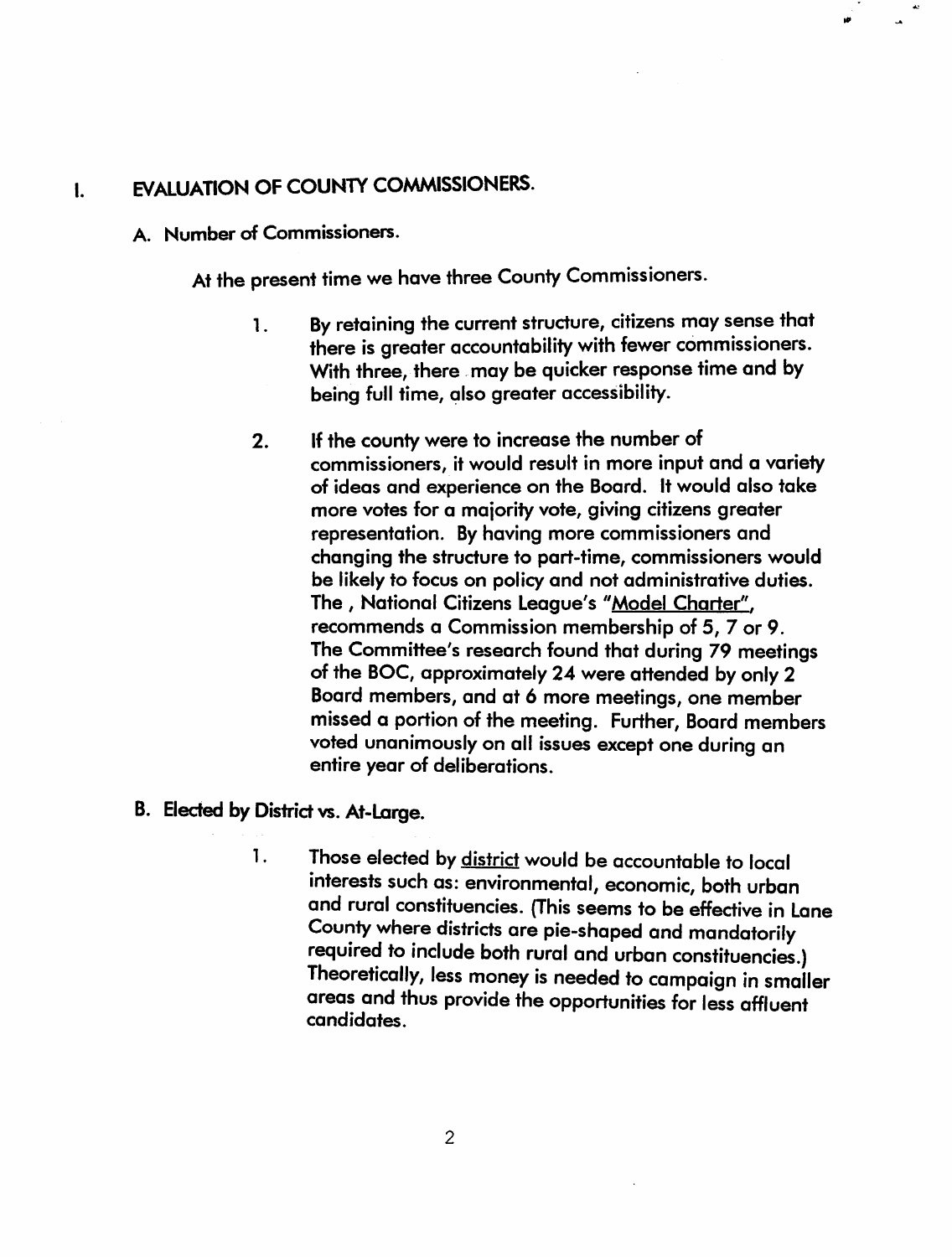### I. EVALUATION OF COUNTY COMMISSIONERS.

A. Number of Commissioners.

At the present time we have three County Commissioners.

- 1. By retaining the current structure, citizens may sense that there is greater accountability with fewer commissioners. With three, there may be quicker response time and by being full time, also greater accessibility.
- 2. If the county were to increase the number of commissioners, it would result in more input and a variety of ideas and experience on the Board. It would also take more votes for a maiority vote, giving citizens greater representation. By having more commissioners and changing the structure to part-time, commissioners would be likely to focus on policy and not administrative duties. The, National Citizens League's "Model Charter", recommends a Commission membership of 5,7 or 9. The Committee's research found that during 79 meetings of the BOC, approximately 24 were attended by only 2 Board members, and at 6 more meetings, one member missed a portion of the meeting. Further, Board members voted unanimously on all issues except one during an entire year of deliberations.
- B. Elected by District vs. At-Large.
	- 1. Those elected by district would be accountable to local interests such as: environmental, economic, both urban and rural constituencies. (This seems to be effective in Lane County where districts are pie-shaped and mandatorily required to include both rural and urban constituencies.) Theoretically, less money is needed to campaign in smaller areas and thus provide the opportunities for less affluent candidates.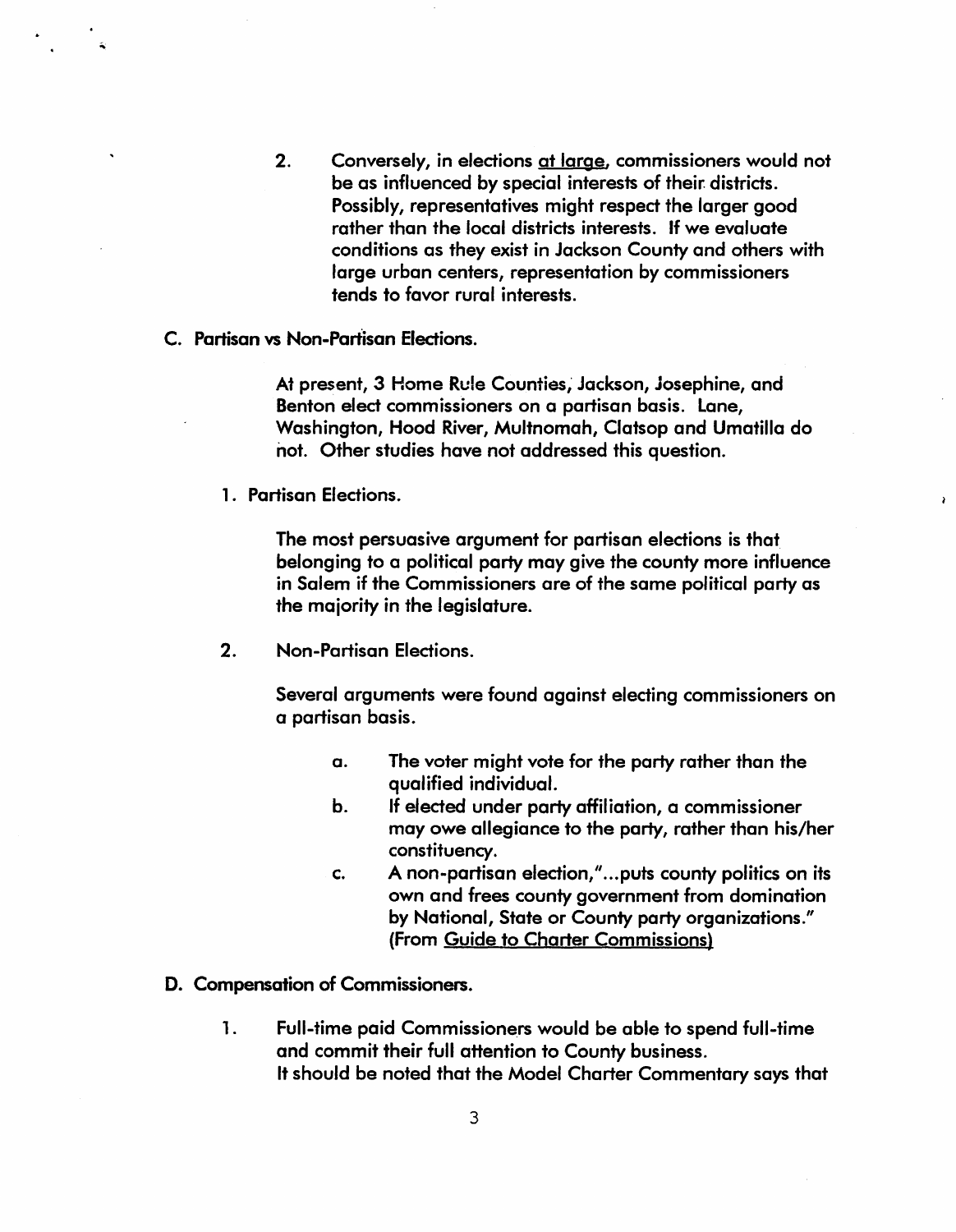- 2. Conversely, in elections at large, commissioners would not be as influenced by special interests of their districts. Possibly, representatives might respect the larger good rather than the local districts interests. If we evaluate conditions as they exist in Jackson County and others with large urban centers, representation by commissioners tends to favor rural interests.
- c. Partisan vs Non-Partisan Elections.

At present, 3 Home Rule Counties; Jackson, josephine, and Benton elect commissioners on a partisan basis. Lane, Washington, Hood River, Multnomah, Clatsop and Umatilla do not. Other studies have not addressed this question.

1. Partisan Elections.

The most persuasive argument for partisan elections is that belonging to a political party may give the county more influence in Salem if the Commissioners are of the same political party as the maiority in the legislature.

2. Non-Partisan Elections.

Several arguments were found against electing commissioners on a partisan basis.

- a. The voter might vote for the party rather than the qualified individual.
- b. If elected under party affiliation, a commissioner may owe allegiance to the party, rather than his/her constituency .
- c. A non-partisan election," ... puts county politics on its own and frees county government from domination by National, State or County party organizations." (From Guide to Charter Commissions)
- D. Compensation of Commissioners.
	- 1. Full-time paid Commissioners would be able to spend full-time and commit their full attention to County business. It should be noted that the Model Charter Commentary says that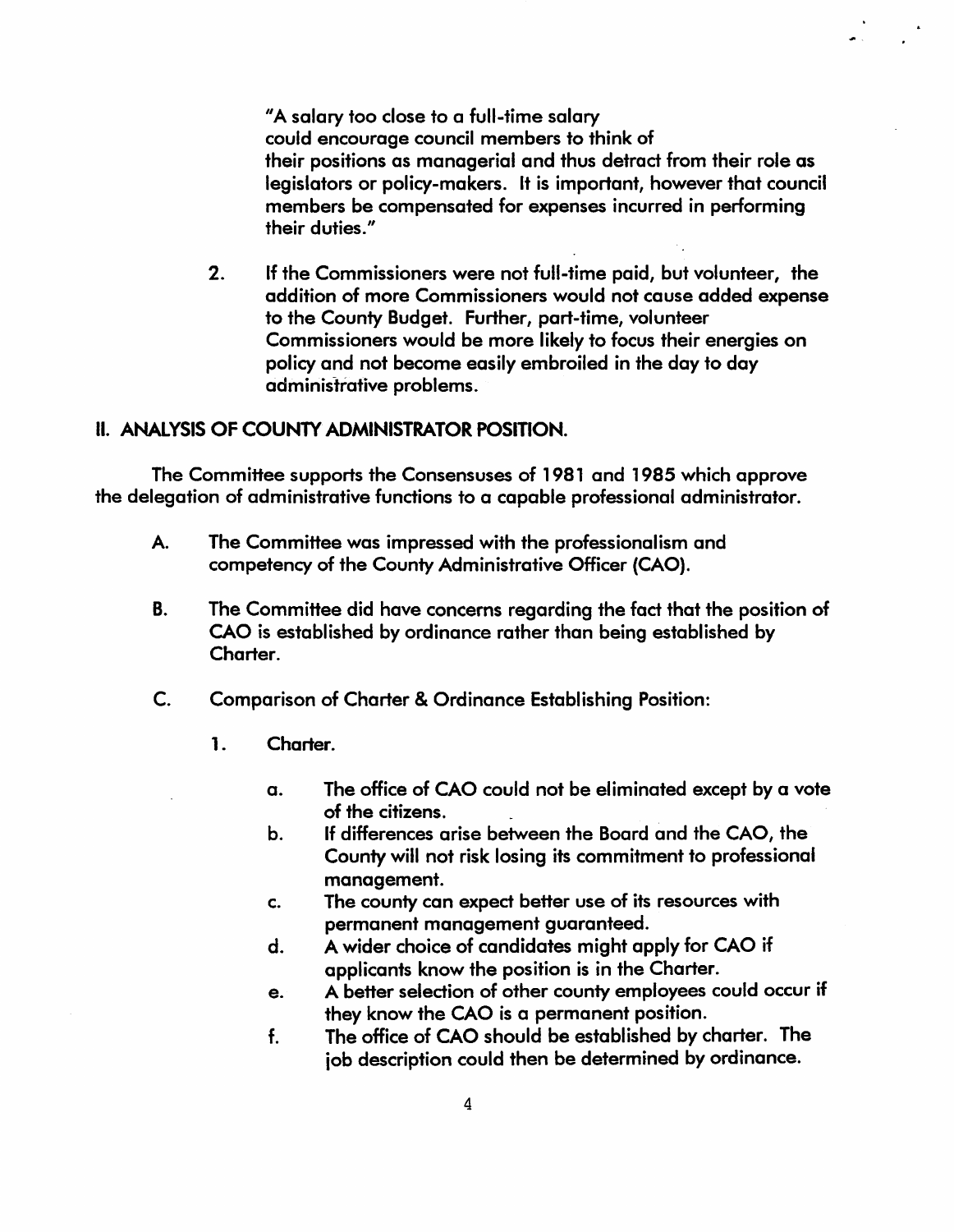"A salary too close to a full-time salary could encourage council members to think of their positions as managerial and thus detract from their role as legislators or policy-makers. It is important, however that council members be compensated for expenses incurred in performing their duties."

2. If the Commissioners were not full-time paid, but volunteer, the addition of more Commissioners would not cause added expense to the County Budget. Further, part-time, volunteer Commissioners would be more likely to focus their energies on policy and not become easily embroiled in the day to day administrative problems.

### II. ANALYSIS OF COUNTY ADMINISTRATOR POSITION.

The Committee supports the Consensuses of 1981 and 1985 which approve the delegation of administrative fundions to a capable professional administrator.

- A. The Committee was impressed with the professionalism and competency of the County Administrative Officer (CAO).
- B. The Committee did have concerns regarding the fact that the position of CAO is established by ordinance rather than being established by Charter.
- C. Comparison of Charter & Ordinance Establishing Position:
	- 1. Charter.
		- a. The office of CAO could not be eliminated except by a vote of the citizens.
		- b. If differences arise between the Board and the CAO, the County will not risk losing its commitment to professional management.
		- c. The county can exped beHer use of its resources with permanent management guaranteed.
		- d. A wider choice of candidates might apply for CAO if applicants know the position is in the Charter.
		- e. A better selection of other county employees could occur if they know the CAO is a permanent position.
		- f. The office of CAO should be established by charter. The iob description could then be determined by ordinance.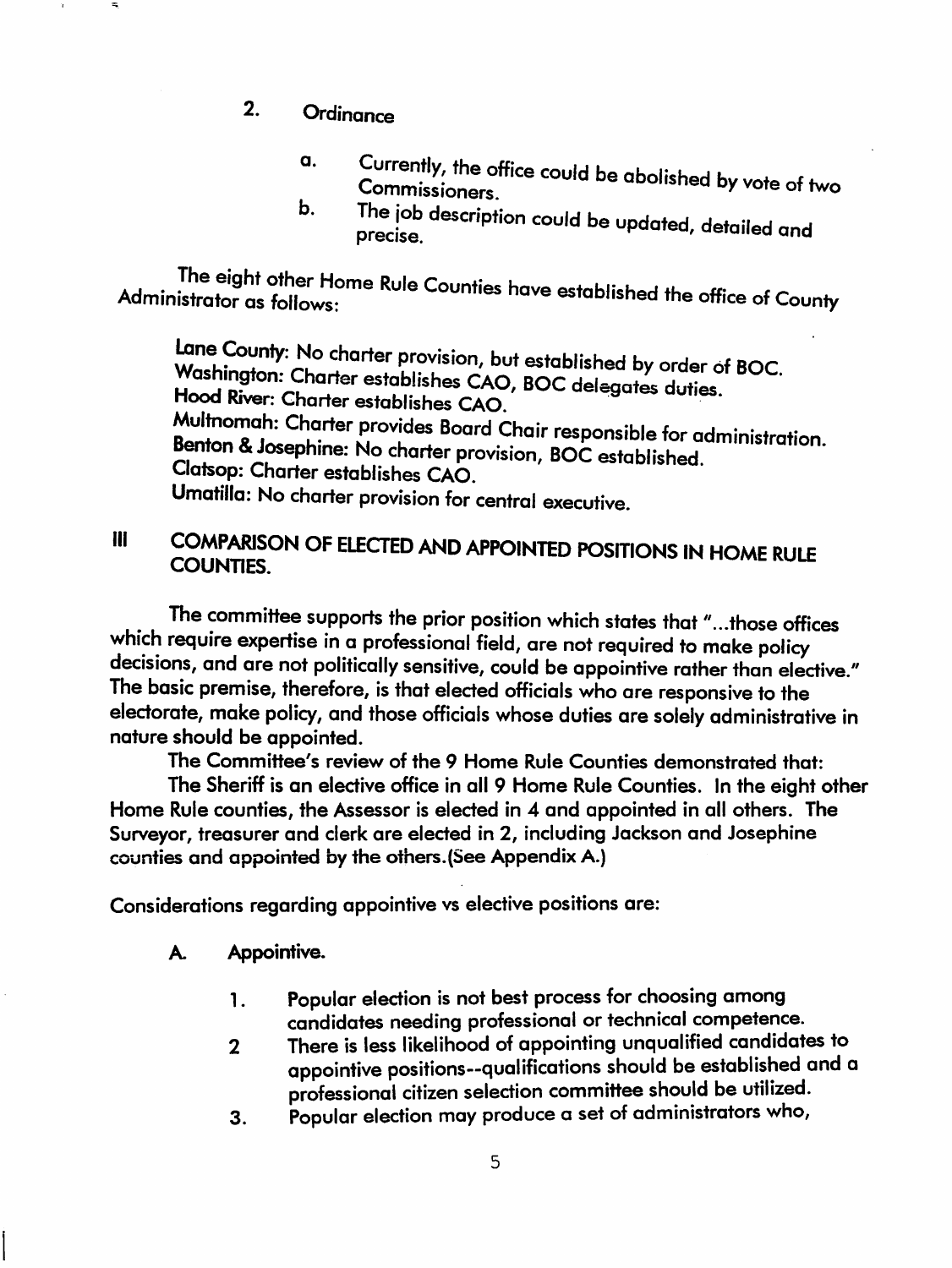- 2. Ordinance
	- a. Currently, the office could be abolished by yote of tw Commissioners.
	- The job description could be updated, detailed and precise. b.

The eight other Home Rule Counties have established the office of County Administrator as follows:

Lane County: No charter provision, but established by order of BOC. Washington: Charter establishes CAO, BOC delegates duties. Hood River: Charter establishes CAO. Multnomah: Charter provides Board Chair responsible for administration. Benton & Josephine: No charter provision, BOC established. Clatsop: Charter establishes CAO. Umatilla: No charter provision for central executive.

## III COMPARISON OF ELECTED AND APPOINTED POSITIONS IN HOME RULE COUNTIES.

The committee supports the prior position which states that *" ... those* offices which require expertise in a professional field, are not required to make policy decisions, and are not politically sensitive, could be appointive rather than elective." The basic premise, therefore, is that elected officials who are responsive to the electorate, make policy, and those officials whose duties are solely administrative in nature should be appointed.

The Committee's review of the 9 Home Rule Counties demonstrated that:

The Sheriff is an elective office in all 9 Home Rule Counties. In the eight other Home Rule counties, the Assessor is elected in 4 and appointed in all others. The Surveyor, treasurer and clerk are elected in 2, including Jackson and Josephine counties and appointed by the others.(See Appendix A.)

Considerations regarding appointive vs elective positions are:

- A Appointive.
	- 1 . Popular election is not best process for choosing among candidates needing professional or technical competence.
	- 2 There is less likelihood of appointing unqualified candidates to appointive positions--qualifications should be established and a professional citizen selection committee should be utilized.
	- 3. Popular election may produce a set of administrators who,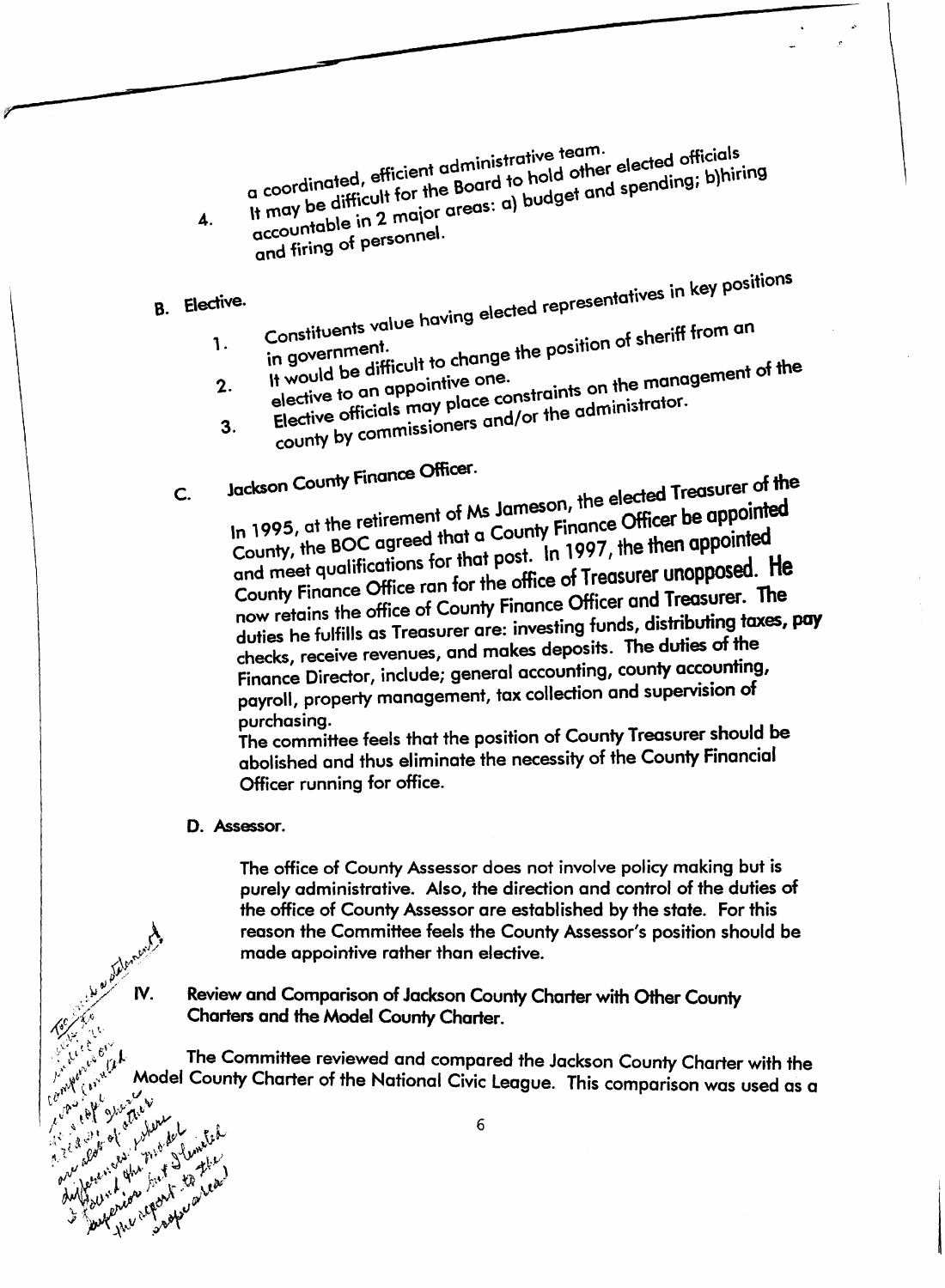inistrative team.  $\theta$  alected officials a coordinated, efficient administrative team.<br>It may be difficult for the Board to hold other elected officials<br>accountable in 2 major areas: a) budget and spending; b)hiring a coordinated, only the Board to hold and spend<br>It may be difficult for the Board to hold get and spend

4. and firing of personnel.

8. Elective.

c.

<sup>o</sup>° key positions . 1 ded representa"tlves In

- value having eled Constituents . ° of sheriff from an in government.<br>It would be difficult to change the position of sheriff from an 1.
- It would be unified one.<br>elective to an appointive one.  $\epsilon$  on the management of 2.  $\frac{1}{2}$  elective officials may place collor the administrator.
- 3.  $e^{i n \lambda}$  by commissioners and coun

 $\frac{1}{2}$  finance Officer.

 $Jackson$  County Finance  $Jackson$  alected Treasurer of the  $f$  Ms Jameson, the elected  $\cdots$  is appointed In 1995, at the retirement of the county Finance Officer be uppointed to the county  $\frac{1}{2}$ County, the BOC agreed that a County Finance Officer be appointed<br>and meet qualifications for that post. In 1997, the then appointed  $\frac{1}{2}$  and meet qualifications for that post. In 1997, the mood of Treasurer unopposed. He County Finance Office ran for the Unite of Heaster County Finance Officer now retains the office of County Finance Officer and Treasurer. The duties he fulfills as Treasurer are: investing funds, distributing taxes, pay checks, receive revenues, and makes deposits. The duties of the Finance Director, include; general accounting, county accounting, payroll, property management, tax collection and SUpervision of purchasing.

The committee feels that the position of County Treasurer should be abolished and thus eliminate the necessity of the County Financial Officer running for office.

#### D. Assessor.

y achimaly

AC 61 Contact 1

IV.

of proceed that the

The office of County Assessor does not involve policy making but is purely administrative. Also, the direction and control of the duties of the office of County Assessor are established by the state. For this reason the Committee feels the County Assessor's position should be made appointive rather than elective.

Review and Comparison of Jackson County Charter with Other County Charters and the Model County Charter.

The Committee reviewed and compared the Jackson County Charter with the Authorized the state Model County Charter of the National Civic League. This comparison was used as a And the control control of the state of the state of the state of the state of the state of the state of the state of the state of the state of the state of the state of the state of the state of the state of the state of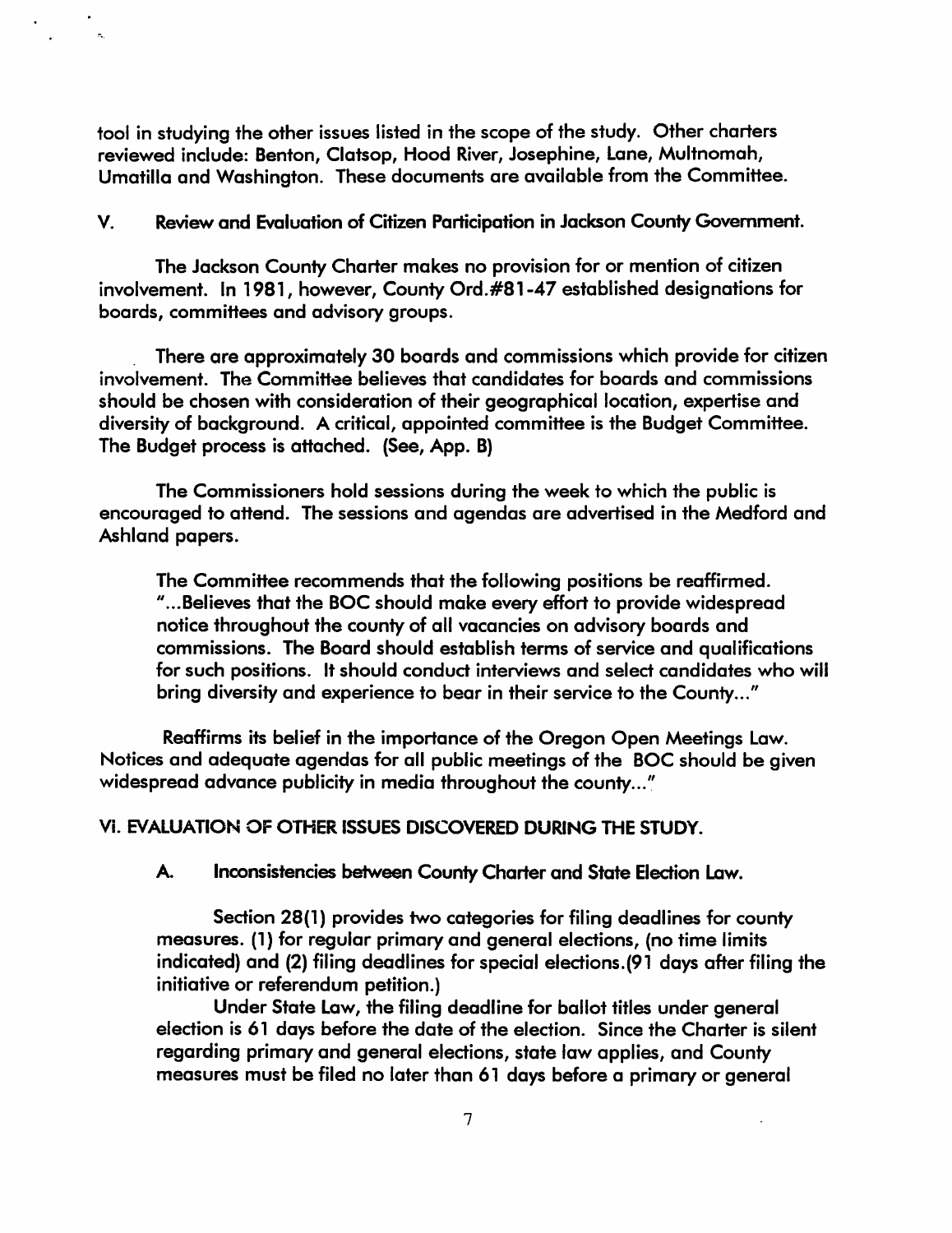tool in studying the other issues listed in the scope of the study. Other charters reviewed include: Benton, Clatsop, Hood River, Josephine, Lane, Multnomah, Umatilla and Washington. These documents are available from the Committee.

 $\mathbb{R}^2$ 

V. Review and Evaluation of Citizen Participation in Jackson County Government.

The Jackson County Charter makes no provision for or mention of citizen involvement. In 1981, however, County Ord.#81-47 established designations for boards, committees and advisory groups.

. There are approximately 30 boards and commissions which provide for citizen involvement. The Committee believes that candidates for boards and commissions should be chosen with consideration of their geographical location, expertise and diversity of background. A critical, appointed committee is the Budget Committee. The Budget process is attached. (See, App. B)

The Commissioners hold sessions during the week to which the public is encouraged to attend. The sessions and agendas are advertised in the Medford and Ashland papers.

The Committee recommends that the following positions be reaffirmed. " ... Believes that the BOC should make every effort to provide widespread notice throughout the county of all vacancies on advisory boards and commissions. The Board should establish terms of service and qualifications for such positions. It should conduct interviews and select candidates who will bring diversity and experience to bear in their service to the County..."

Reaffirms its belief in the importance of the Oregon Open Meetings Law. Notices and adequate agendas for all public meetings of the BOC should be given widespread advance publicity in media throughout the county..."

Vi. EVALUATION OF OTHER ISSUES DISCOVERED DURING THE STUDY.

A. Inconsistencies between County Charter and State Election Law.

Section 28{l) provides two categories for filing deadlines for county measures. (1) for regular primary and general elections, (no time limits indicated) and (2) filing deadlines for special elections. (91 days after filing the initiative or referendum petition.)

Under State Law, the filing deadline for ballot titles under general election is 61 days before the date of the election. Since the Charter is silent regarding primary and general eledions, state law applies, and County measures must be filed no later than 61 days before a primary or general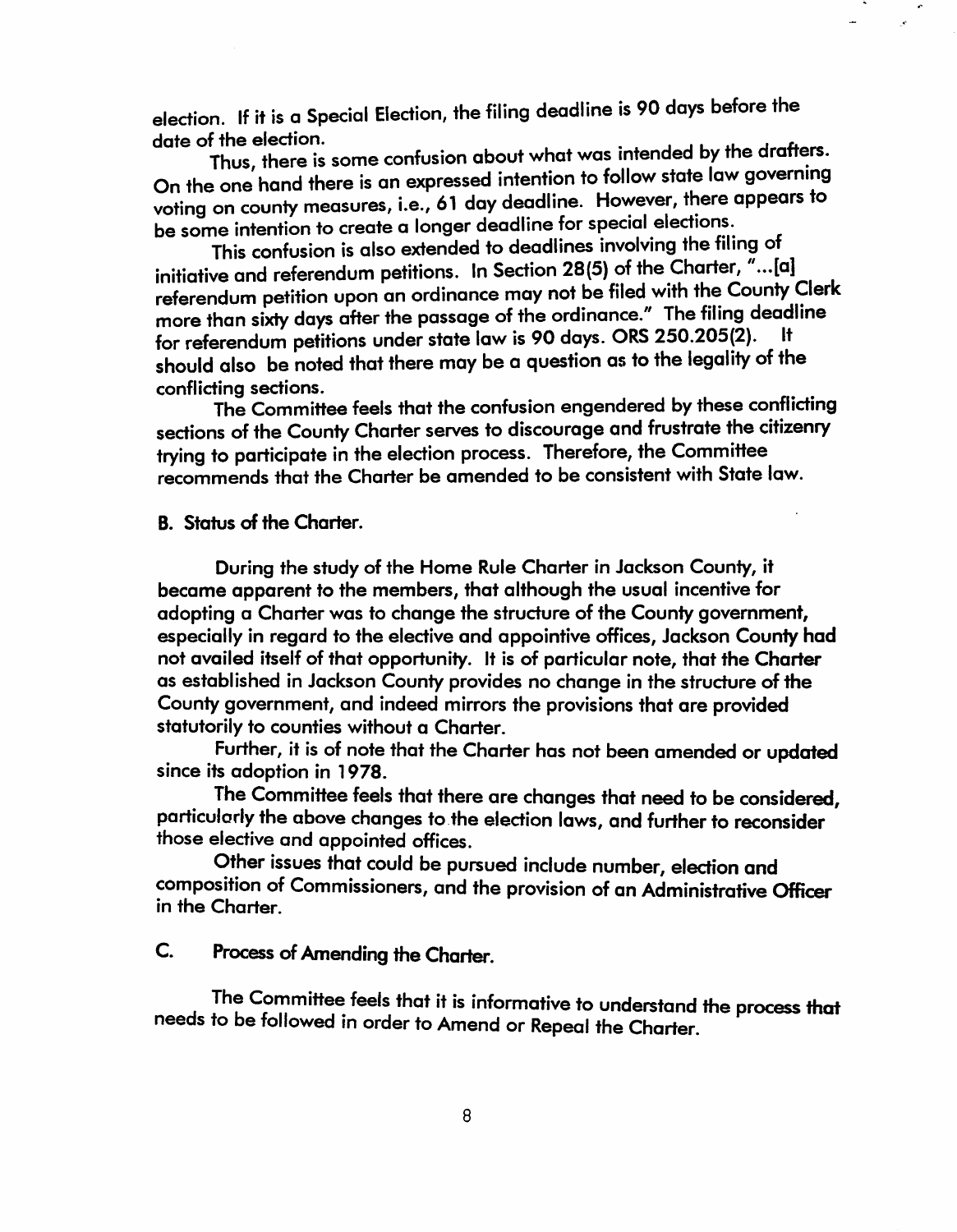election. If it is a Special Election, the filing deadline is 90 days before the date of the election.

Thus, there is some confusion about what was intended by the drafters. On the one hand there is an expressed intention to follow state law governing voting on county measures, i.e., 61 day deadline. However, there appears to be some intention to create a longer deadline for special elections.

This confusion is also extended to deadlines involving the filing of initiative and referendum petitions. In Section 28(5) of the Charter,  $\vec{u}$ ...[a] referendum petition upon an ordinance may not be filed with the County Clerk more than sixty days after the passage of the ordinance." The filing deadline for referendum petitions under state law is 90 days. ORS 250.205(2). should also be noted that there may be a question as to the legality of the conflicting sections.

The Committee feels that the confusion engendered by these conflicting sections of the County Charter serves to discourage and frustrate the citizenry trying to participate in the election process. Therefore, the Committee recommends that the Charter be amended to be consistent with State law.

B. Status of the Charter.

During the study of the Home Rule Charter in Jackson County, it became apparent to the members, that although the usual incentive for adopting a Charter was to change the structure of the County government, especially in regard to the elective and appointive offices, Jackson Counfy had not availed itself of that opportunity. It is of particular note, that the Charter as established in Jackson County provides no change in the structure of the County government, and indeed mirrors the provisions that are provided statutorily to counties without a Charter.

Further, it is of note that the Charter has not been amended or updated since its adoption in 1978.

. The Committee feels that there are changes that need to be considered, particularly the above changes to the election laws, and further to reconsider those elective and appointed offices.

Other issues that could be pursued include number, election and composition of Commissioners, and the provision of an Administrative Officer in the Charter.

# C. Process of Amending the Charter.

The Committee feels that it is informative to understand the process that needs to be followed in order to Amend or Repeal the Charter.